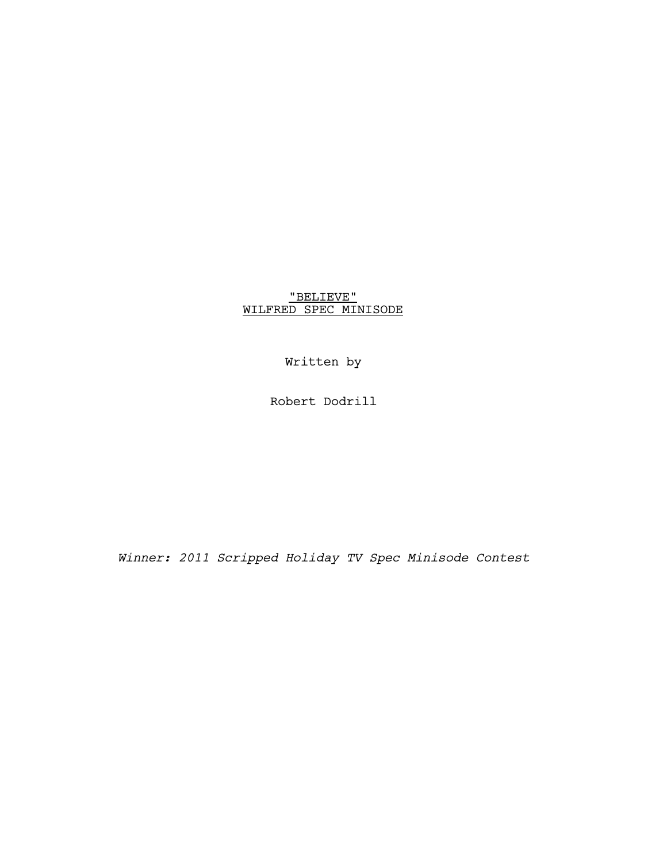# "BELIEVE" WILFRED SPEC MINISODE

Written by

Robert Dodrill

*Winner: 2011 Scripped Holiday TV Spec Minisode Contest*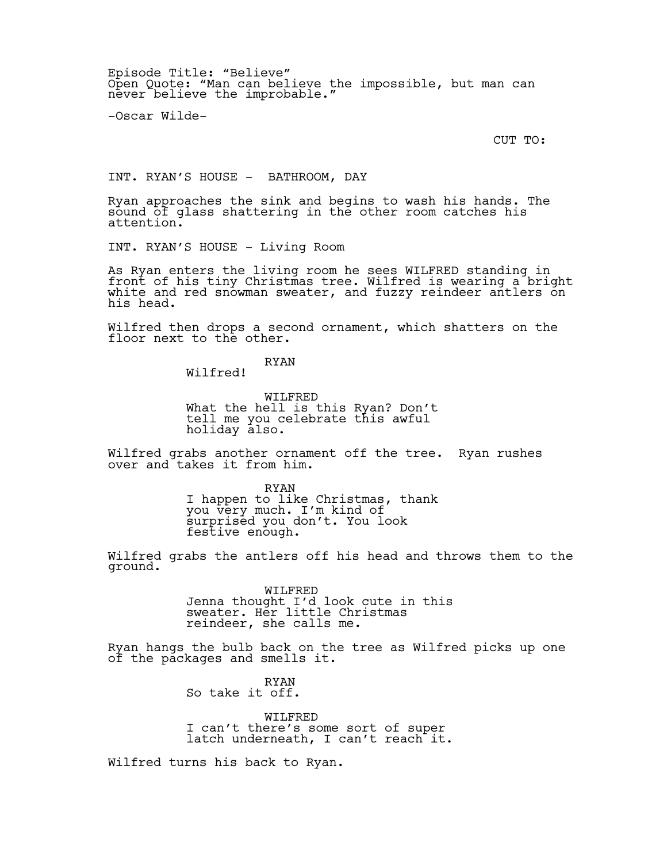Episode Title: "Believe" Open Quote: "Man can believe the impossible, but man can never believe the improbable."

-Oscar Wilde-

CUT TO:

INT. RYAN'S HOUSE - BATHROOM, DAY

Ryan approaches the sink and begins to wash his hands. The sound of glass shattering in the other room catches his attention.

INT. RYAN'S HOUSE - Living Room

As Ryan enters the living room he sees WILFRED standing in front of his tiny Christmas tree. Wilfred is wearing a bright white and red snowman sweater, and fuzzy reindeer antlers on his head.

Wilfred then drops a second ornament, which shatters on the floor next to the other.

RYAN

Wilfred!

WILFRED What the hell is this Ryan? Don't tell me you celebrate this awful holiday also.

Wilfred grabs another ornament off the tree. Ryan rushes over and takes it from him.

> RYAN I happen to like Christmas, thank you very much. I'm kind of surprised you don't. You look festive enough.

Wilfred grabs the antlers off his head and throws them to the ground.

> WILFRED Jenna thought I'd look cute in this sweater. Her little Christmas reindeer, she calls me.

Ryan hangs the bulb back on the tree as Wilfred picks up one of the packages and smells it.

> RYAN So take it off.

WILFRED I can't there's some sort of super latch underneath, I can't reach it.

Wilfred turns his back to Ryan.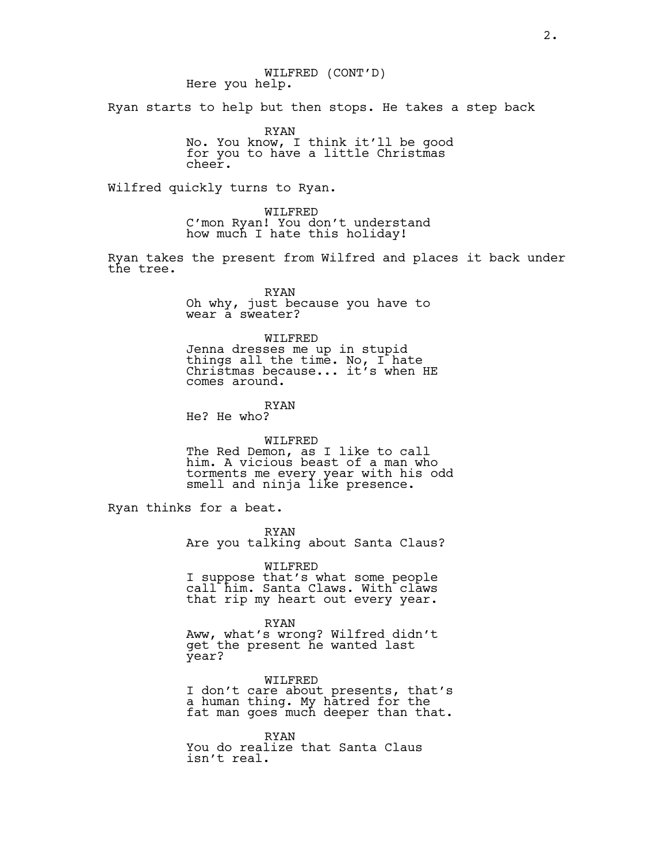WILFRED (CONT'D) Here you help.

Ryan starts to help but then stops. He takes a step back

RYAN No. You know, I think it'll be good for you to have a little Christmas cheer.

Wilfred quickly turns to Ryan.

WILFRED C'mon Ryan! You don't understand how much I hate this holiday!

Ryan takes the present from Wilfred and places it back under the tree.

> RYAN Oh why, just because you have to wear a sweater?

WILFRED Jenna dresses me up in stupid things all the time. No, I hate Christmas because... it's when HE comes around.

RYAN He? He who?

WILFRED

The Red Demon, as I like to call him. A vicious beast of a man who torments me every year with his odd smell and ninja like presence.

Ryan thinks for a beat.

RYAN Are you talking about Santa Claus?

WILFRED I suppose that's what some people call him. Santa Claws. With claws that rip my heart out every year.

RYAN Aww, what's wrong? Wilfred didn't get the present he wanted last year?

WILFRED I don't care about presents, that's a human thing. My hatred for the fat man goes much deeper than that.

RYAN You do realize that Santa Claus isn't real.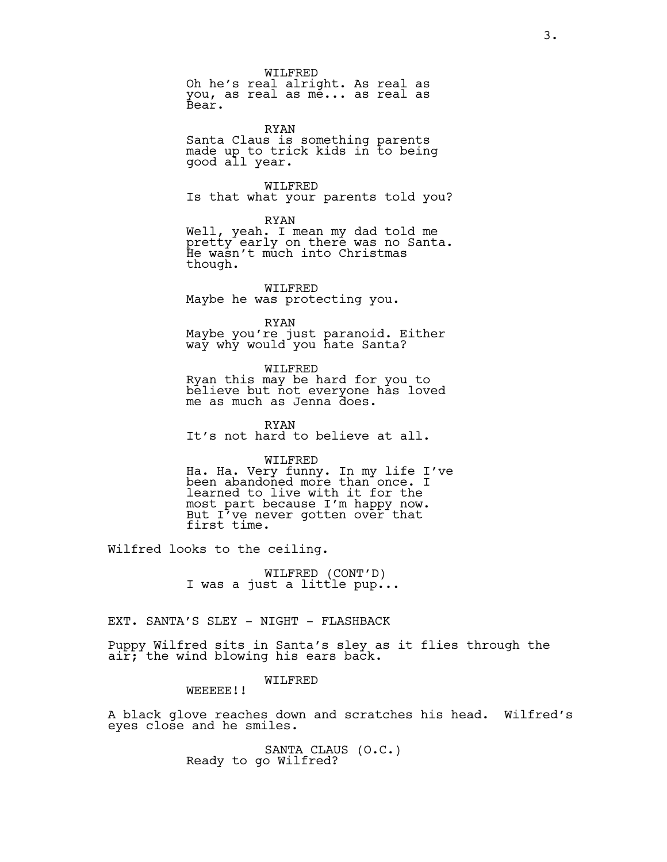WILFRED Oh he's real alright. As real as you, as real as me... as real as Bear.

RYAN Santa Claus is something parents made up to trick kids in to being good all year.

WILFRED Is that what your parents told you?

RYAN Well, yeah. I mean my dad told me pretty early on there was no Santa. He wasn't much into Christmas though.

WILFRED Maybe he was protecting you.

RYAN Maybe you're just paranoid. Either way why would you hate Santa?

WILFRED Ryan this may be hard for you to believe but not everyone has loved me as much as Jenna does.

RYAN It's not hard to believe at all.

#### WILFRED

Ha. Ha. Very funny. In my life I've been abandoned more than once. I learned to live with it for the most part because I'm happy now. But I've never gotten over that first time.

Wilfred looks to the ceiling.

WILFRED (CONT'D) I was a just a little pup...

EXT. SANTA'S SLEY - NIGHT - FLASHBACK

Puppy Wilfred sits in Santa's sley as it flies through the air; the wind blowing his ears back.

### WILFRED

WEEEEE!!

A black glove reaches down and scratches his head. Wilfred's eyes close and he smiles.

> SANTA CLAUS (O.C.) Ready to go Wilfred?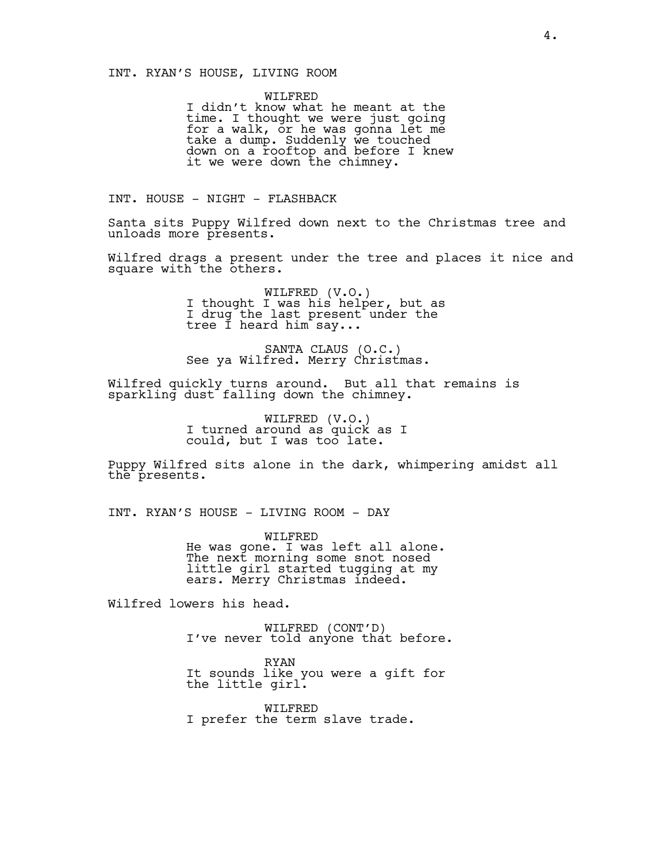### INT. RYAN'S HOUSE, LIVING ROOM

WILFRED I didn't know what he meant at the time. I thought we were just going for a walk, or he was gonna let me take a dump. Suddenly we touched down on a rooftop and before I knew it we were down the chimney.

INT. HOUSE - NIGHT - FLASHBACK

Santa sits Puppy Wilfred down next to the Christmas tree and unloads more presents.

Wilfred drags a present under the tree and places it nice and square with the others.

> WILFRED (V.O.) I thought I was his helper, but as I drug the last present under the tree Í heard him say...

SANTA CLAUS (O.C.) See ya Wilfred. Merry Christmas.

Wilfred quickly turns around. But all that remains is sparkling dust falling down the chimney.

> WILFRED (V.O.) I turned around as quick as I could, but I was too late.

Puppy Wilfred sits alone in the dark, whimpering amidst all the presents.

INT. RYAN'S HOUSE - LIVING ROOM - DAY

WILFRED He was gone. I was left all alone. The next morning some snot nosed little girl started tugging at my ears. Merry Christmas indeed.

Wilfred lowers his head.

WILFRED (CONT'D) I've never told anyone that before.

RYAN It sounds like you were a gift for the little girl.

WILFRED I prefer the term slave trade.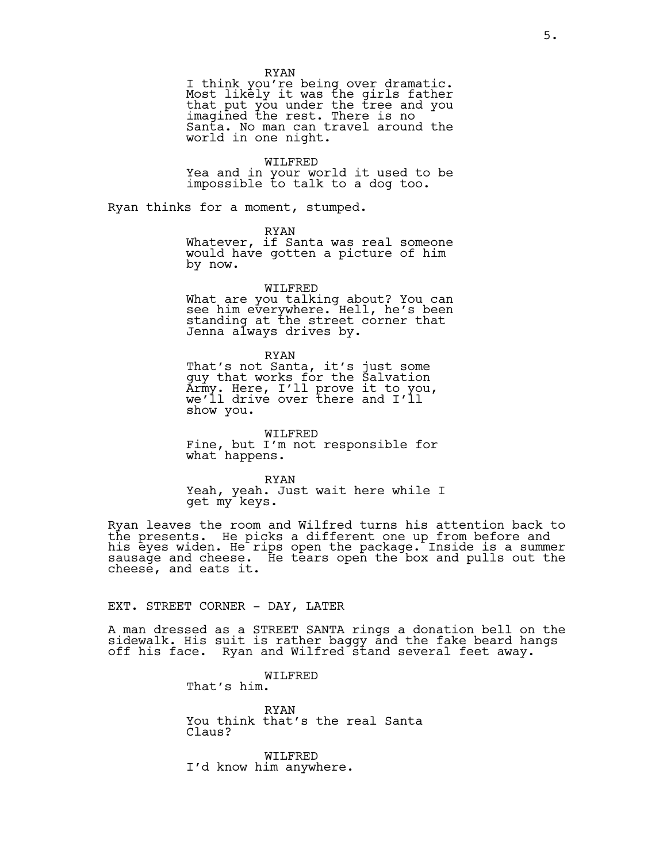RYAN

I think you're being over dramatic. Most likely it was the girls father that put you under the tree and you imagined the rest. There is no Santa. No man can travel around the world in one night.

WILFRED

Yea and in your world it used to be impossible to talk to a dog too.

Ryan thinks for a moment, stumped.

RYAN

Whatever, if Santa was real someone would have gotten a picture of him by now.

WILFRED

What are you talking about? You can see him everywhere. Hell, he's been standing at the street corner that Jenna always drives by.

RYAN

That's not Santa, it's just some guy that works for the Salvation Army. Here, I'll prove it to you, we'll drive over there and I'll show you.

WILFRED Fine, but I'm not responsible for what happens.

RYAN Yeah, yeah. Just wait here while I get my keys.

Ryan leaves the room and Wilfred turns his attention back to the presents. He picks a different one up from before and his eyes widen. He rips open the package. Inside is a summer sausage and cheese. He tears open the box and pulls out the cheese, and eats it.

EXT. STREET CORNER - DAY, LATER

A man dressed as a STREET SANTA rings a donation bell on the sidewalk. His suit is rather baggy and the fake beard hangs off his face. Ryan and Wilfred stand several feet away.

WILFRED

That's him.

RYAN You think that's the real Santa Claus?

WILFRED I'd know him anywhere.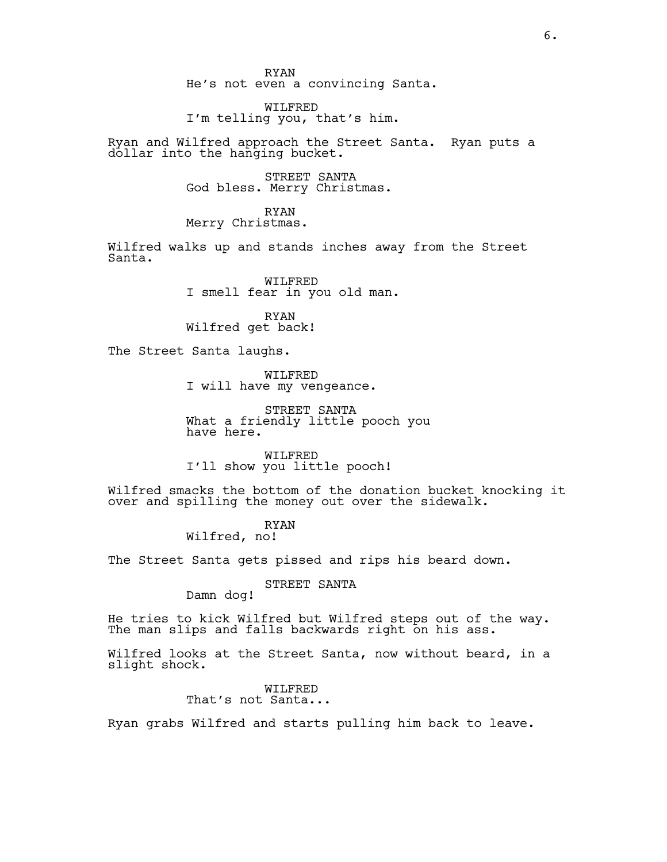RYAN He's not even a convincing Santa.

WILFRED I'm telling you, that's him.

Ryan and Wilfred approach the Street Santa. Ryan puts a dollar into the hanging bucket.

> STREET SANTA God bless. Merry Christmas.

RYAN Merry Christmas.

Wilfred walks up and stands inches away from the Street Santa.

> WILFRED I smell fear in you old man.

RYAN Wilfred get back!

The Street Santa laughs.

WILFRED I will have my vengeance.

STREET SANTA What a friendly little pooch you have here.

WILFRED I'll show you little pooch!

Wilfred smacks the bottom of the donation bucket knocking it over and spilling the money out over the sidewalk.

> RYAN Wilfred, no!

The Street Santa gets pissed and rips his beard down.

STREET SANTA

Damn dog!

He tries to kick Wilfred but Wilfred steps out of the way. The man slips and falls backwards right on his ass.

Wilfred looks at the Street Santa, now without beard, in a slight shock.

> WILFRED That's not Santa...

Ryan grabs Wilfred and starts pulling him back to leave.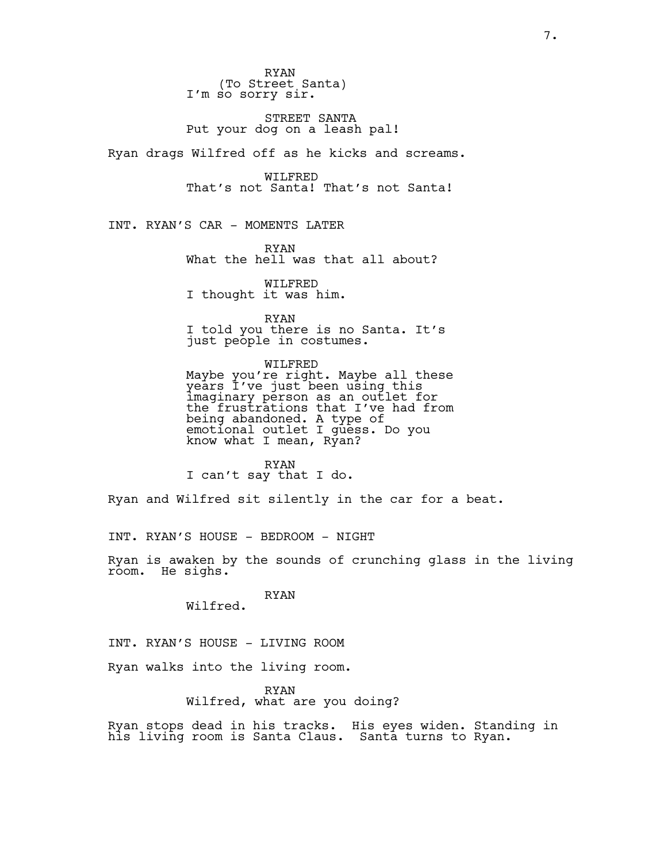RYAN (To Street Santa) I'm so sorry sir.

STREET SANTA Put your dog on a leash pal!

Ryan drags Wilfred off as he kicks and screams.

WILFRED That's not Santa! That's not Santa!

INT. RYAN'S CAR - MOMENTS LATER

RYAN What the hell was that all about?

WILFRED I thought it was him.

RYAN I told you there is no Santa. It's just people in costumes.

WILFRED Maybe you're right. Maybe all these years I've just been using this imaginary person as an outlet for the frustrations that I've had from being abandoned. A type of emotional outlet I guess. Do you know what I mean, Ryan?

RYAN I can't say that I do.

Ryan and Wilfred sit silently in the car for a beat.

INT. RYAN'S HOUSE - BEDROOM - NIGHT

Ryan is awaken by the sounds of crunching glass in the living room. He sighs.

> RYAN Wilfred.

INT. RYAN'S HOUSE - LIVING ROOM

Ryan walks into the living room.

#### RYAN Wilfred, what are you doing?

Ryan stops dead in his tracks. His eyes widen. Standing in his living room is Santa Claus. Santa turns to Ryan.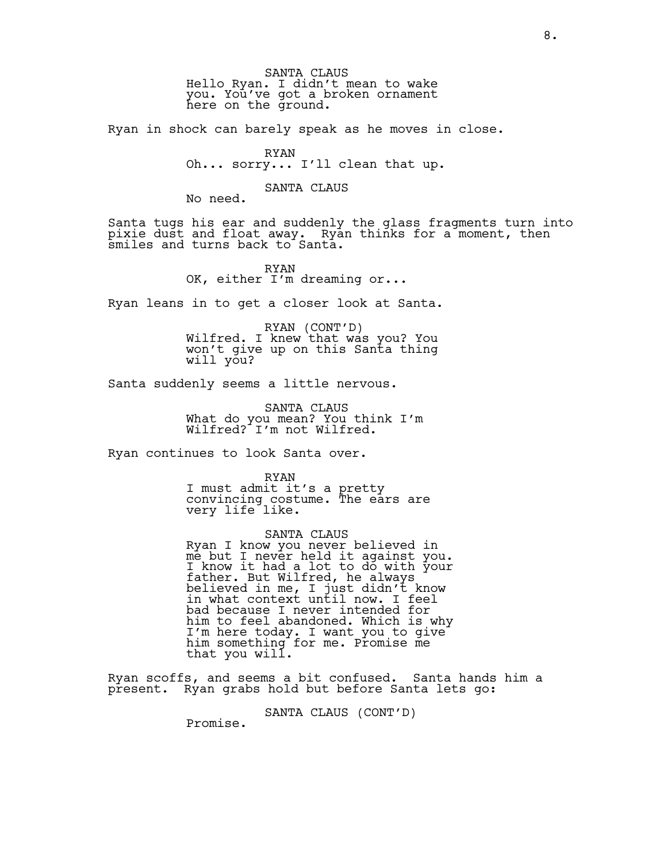SANTA CLAUS Hello Ryan. I didn't mean to wake you. You've got a broken ornament here on the ground.

Ryan in shock can barely speak as he moves in close.

#### RYAN

Oh... sorry... I'll clean that up.

## SANTA CLAUS

No need.

Santa tugs his ear and suddenly the glass fragments turn into pixie dust and float away. Ryan thinks for a moment, then smiles and turns back to Santa.

> RYAN OK, either I'm dreaming or...

Ryan leans in to get a closer look at Santa.

RYAN (CONT'D) Wilfred. I knew that was you? You won't give up on this Santa thing will you?

Santa suddenly seems a little nervous.

SANTA CLAUS What do you mean? You think I'm Wilfred? I'm not Wilfred.

Ryan continues to look Santa over.

RYAN I must admit it's a pretty convincing costume. The ears are very life like.

SANTA CLAUS Ryan I know you never believed in me but I never held it against you. I know it had a lot to do with your father. But Wilfred, he always believed in me, I just didn't know in what context until now. I feel bad because I never intended for him to feel abandoned. Which is why I'm here today. I want you to give him something for me. Promise me that you will.

Ryan scoffs, and seems a bit confused. Santa hands him a present. Ryan grabs hold but before Santa lets go:

SANTA CLAUS (CONT'D)

Promise.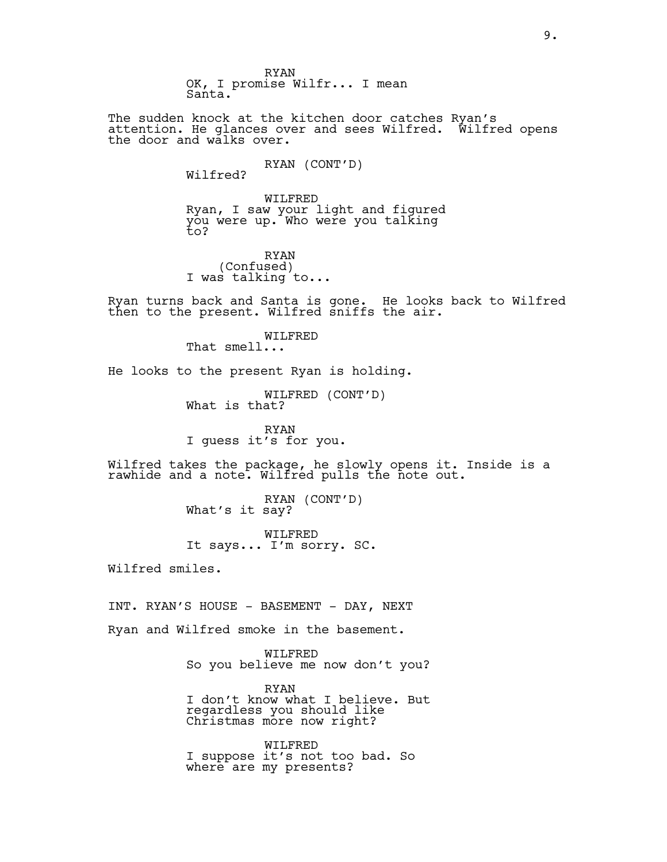RYAN OK, I promise Wilfr... I mean Santa.

The sudden knock at the kitchen door catches Ryan's attention. He glances over and sees Wilfred. Wilfred opens the door and walks over.

> RYAN (CONT'D) Wilfred?

WILFRED Ryan, I saw your light and figured you were up. Who were you talking  $\overline{t}$ o?

RYAN (Confused) I was talking to...

Ryan turns back and Santa is gone. He looks back to Wilfred then to the present. Wilfred sniffs the air.

WILFRED

That smell...

He looks to the present Ryan is holding.

WILFRED (CONT'D) What is that?

RYAN I guess it's for you.

Wilfred takes the package, he slowly opens it. Inside is a rawhide and a note. Wilfred pulls the note out.

> RYAN (CONT'D) What's it say?

WILFRED It says... I'm sorry. SC.

Wilfred smiles.

INT. RYAN'S HOUSE - BASEMENT - DAY, NEXT

Ryan and Wilfred smoke in the basement.

WILFRED So you believe me now don't you?

RYAN I don't know what I believe. But regardless you should like Christmas more now right?

WILFRED I suppose it's not too bad. So where are my presents?